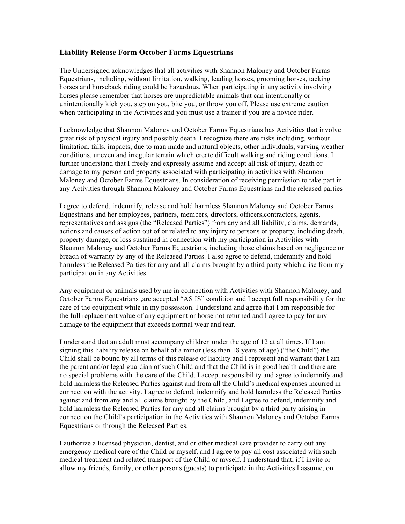## **Liability Release Form October Farms Equestrians**

The Undersigned acknowledges that all activities with Shannon Maloney and October Farms Equestrians, including, without limitation, walking, leading horses, grooming horses, tacking horses and horseback riding could be hazardous. When participating in any activity involving horses please remember that horses are unpredictable animals that can intentionally or unintentionally kick you, step on you, bite you, or throw you off. Please use extreme caution when participating in the Activities and you must use a trainer if you are a novice rider.

I acknowledge that Shannon Maloney and October Farms Equestrians has Activities that involve great risk of physical injury and possibly death. I recognize there are risks including, without limitation, falls, impacts, due to man made and natural objects, other individuals, varying weather conditions, uneven and irregular terrain which create difficult walking and riding conditions. I further understand that I freely and expressly assume and accept all risk of injury, death or damage to my person and property associated with participating in activities with Shannon Maloney and October Farms Equestrians. In consideration of receiving permission to take part in any Activities through Shannon Maloney and October Farms Equestrians and the released parties

I agree to defend, indemnify, release and hold harmless Shannon Maloney and October Farms Equestrians and her employees, partners, members, directors, officers,contractors, agents, representatives and assigns (the "Released Parties") from any and all liability, claims, demands, actions and causes of action out of or related to any injury to persons or property, including death, property damage, or loss sustained in connection with my participation in Activities with Shannon Maloney and October Farms Equestrians, including those claims based on negligence or breach of warranty by any of the Released Parties. I also agree to defend, indemnify and hold harmless the Released Parties for any and all claims brought by a third party which arise from my participation in any Activities.

Any equipment or animals used by me in connection with Activities with Shannon Maloney, and October Farms Equestrians ,are accepted "AS IS" condition and I accept full responsibility for the care of the equipment while in my possession. I understand and agree that I am responsible for the full replacement value of any equipment or horse not returned and I agree to pay for any damage to the equipment that exceeds normal wear and tear.

I understand that an adult must accompany children under the age of 12 at all times. If I am signing this liability release on behalf of a minor (less than 18 years of age) ("the Child") the Child shall be bound by all terms of this release of liability and I represent and warrant that I am the parent and/or legal guardian of such Child and that the Child is in good health and there are no special problems with the care of the Child. I accept responsibility and agree to indemnify and hold harmless the Released Parties against and from all the Child's medical expenses incurred in connection with the activity. I agree to defend, indemnify and hold harmless the Released Parties against and from any and all claims brought by the Child, and I agree to defend, indemnify and hold harmless the Released Parties for any and all claims brought by a third party arising in connection the Child's participation in the Activities with Shannon Maloney and October Farms Equestrians or through the Released Parties.

I authorize a licensed physician, dentist, and or other medical care provider to carry out any emergency medical care of the Child or myself, and I agree to pay all cost associated with such medical treatment and related transport of the Child or myself. I understand that, if I invite or allow my friends, family, or other persons (guests) to participate in the Activities I assume, on